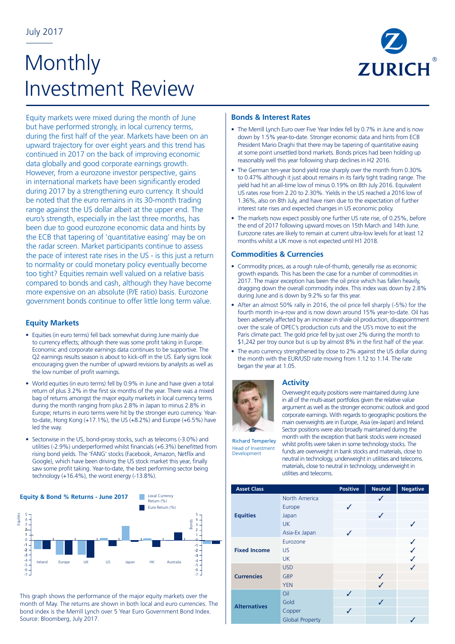# **Monthly** Investment Review



Equity markets were mixed during the month of June but have performed strongly, in local currency terms, during the first half of the year. Markets have been on an upward trajectory for over eight years and this trend has continued in 2017 on the back of improving economic data globally and good corporate earnings growth. However, from a eurozone investor perspective, gains in international markets have been significantly eroded during 2017 by a strengthening euro currency. It should be noted that the euro remains in its 30-month trading range against the US dollar albeit at the upper end. The euro's strength, especially in the last three months, has been due to good eurozone economic data and hints by the ECB that tapering of 'quantitative easing' may be on the radar screen. Market participants continue to assess the pace of interest rate rises in the US - is this just a return to normality or could monetary policy eventually become too tight? Equities remain well valued on a relative basis compared to bonds and cash, although they have become more expensive on an absolute (P/E ratio) basis. Eurozone government bonds continue to offer little long term value.

## **Equity Markets**

- Equities (in euro terms) fell back somewhat during June mainly due to currency effects; although there was some profit taking in Europe. Economic and corporate earnings data continues to be supportive. The Q2 earnings results season is about to kick-off in the US. Early signs look encouraging given the number of upward revisions by analysts as well as the low number of profit warnings.
- World equities (in euro terms) fell by 0.9% in June and have given a total return of plus 3.2% in the first six months of the year. There was a mixed bag of returns amongst the major equity markets in local currency terms during the month ranging from plus 2.8% in Japan to minus 2.8% in Europe; returns in euro terms were hit by the stronger euro currency. Yearto-date, Hong Kong (+17.1%), the US (+8.2%) and Europe (+6.5%) have led the way.
- Sectorwise in the US, bond-proxy stocks, such as telecoms (-3.0%) and utilities (-2.9%) underperformed whilst financials (+6.3%) benefitted from rising bond yields. The 'FANG' stocks (Facebook, Amazon, Netflix and Google), which have been driving the US stock market this year, finally saw some profit taking. Year-to-date, the best performing sector being technology (+16.4%), the worst energy (-13.8%).



This graph shows the performance of the major equity markets over the month of May. The returns are shown in both local and euro currencies. The bond index is the Merrill Lynch over 5 Year Euro Government Bond Index. Source: Bloomberg, July 2017.

#### **Bonds & Interest Rates**

- The Merrill Lynch Euro over Five Year Index fell by 0.7% in June and is now down by 1.5% year-to-date. Stronger economic data and hints from ECB President Mario Draghi that there may be tapering of quantitative easing at some point unsettled bond markets. Bonds prices had been holding up reasonably well this year following sharp declines in H2 2016.
- The German ten-year bond vield rose sharply over the month from 0.30% to 0.47% although it just about remains in its fairly tight trading range. The yield had hit an all-time low of minus 0.19% on 8th July 2016. Equivalent US rates rose from 2.20 to 2.30%. Yields in the US reached a 2016 low of 1.36%, also on 8th July, and have risen due to the expectation of further interest rate rises and expected changes in US economic policy.
- The markets now expect possibly one further US rate rise, of 0.25%, before the end of 2017 following upward moves on 15th March and 14th June. Eurozone rates are likely to remain at current ultra-low levels for at least 12 months whilst a UK move is not expected until H1 2018.

### **Commodities & Currencies**

- Commodity prices, as a rough rule-of-thumb, generally rise as economic growth expands. This has been the case for a number of commodities in 2017. The major exception has been the oil price which has fallen heavily, dragging down the overall commodity index. This index was down by 2.8% during June and is down by 9.2% so far this year.
- After an almost 50% rally in 2016, the oil price fell sharply (-5%) for the fourth month in-a-row and is now down around 15% year-to-date. Oil has been adversely affected by an increase in shale oil production, disappointment over the scale of OPEC's production cuts and the US's move to exit the Paris climate pact. The gold price fell by just over 2% during the month to \$1,242 per troy ounce but is up by almost 8% in the first half of the year.
- The euro currency strengthened by close to 2% against the US dollar during the month with the EUR/USD rate moving from 1.12 to 1.14. The rate began the year at 1.05.



### **Activity**

Overweight equity positions were maintained during June in all of the multi-asset portfolios given the relative value argument as well as the stronger economic outlook and good corporate earnings. With regards to geographic positions the main overweights are in Europe, Asia (ex-Japan) and Ireland. Sector positions were also broadly maintained during the month with the exception that bank stocks were increased whilst profits were taken in some technology stocks. The funds are overweight in bank stocks and materials, close to

Richard Temperley Head of Investment **Development** 

neutral in technology, underweight in utilities and telecoms. materials, close to neutral in technology, underweight in utilities and telecoms.

| <b>Asset Class</b>  | <b>Positive</b>        | <b>Neutral</b> | <b>Negative</b> |   |
|---------------------|------------------------|----------------|-----------------|---|
| <b>Equities</b>     | North America          |                | ✓               |   |
|                     | Europe<br>Japan        | ✓              |                 |   |
|                     | <b>UK</b>              |                |                 |   |
|                     | Asia-Ex Japan          | ✓              |                 |   |
| <b>Fixed Income</b> | Eurozone               |                |                 |   |
|                     | US                     |                |                 |   |
|                     | <b>UK</b>              |                |                 |   |
| <b>Currencies</b>   | <b>USD</b>             |                |                 | J |
|                     | <b>GBP</b>             |                | J               |   |
|                     | <b>YEN</b>             |                | ✓               |   |
| <b>Alternatives</b> | Oil                    | ✓              |                 |   |
|                     | Gold                   |                | ✓               |   |
|                     | Copper                 | ✓              |                 |   |
|                     | <b>Global Property</b> |                |                 |   |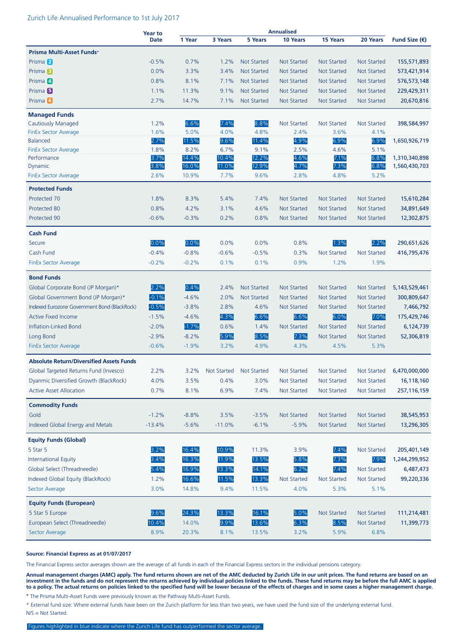#### Zurich Life Annualised Performance to 1st July 2017

|                                                 | <b>Year to</b><br><b>Date</b> | <b>Annualised</b> |             |                    |                    |                    |                    |                        |
|-------------------------------------------------|-------------------------------|-------------------|-------------|--------------------|--------------------|--------------------|--------------------|------------------------|
|                                                 |                               | 1 Year            | 3 Years     | <b>5 Years</b>     | 10 Years           | 15 Years           | 20 Years           | Fund Size $(\epsilon)$ |
| Prisma Multi-Asset Funds+                       |                               |                   |             |                    |                    |                    |                    |                        |
| Prisma <sup>2</sup>                             | $-0.5%$                       | 0.7%              | 1.2%        | <b>Not Started</b> | <b>Not Started</b> | <b>Not Started</b> | Not Started        | 155,571,893            |
| Prisma <sup>3</sup>                             | 0.0%                          | 3.3%              | 3.4%        | <b>Not Started</b> | <b>Not Started</b> | <b>Not Started</b> | <b>Not Started</b> | 573,421,914            |
| Prisma 4                                        | 0.8%                          | 8.1%              | 7.1%        | <b>Not Started</b> | <b>Not Started</b> | <b>Not Started</b> | <b>Not Started</b> | 576,573,148            |
| Prisma <sup>5</sup>                             | 1.1%                          | 11.3%             | 9.1%        | <b>Not Started</b> | <b>Not Started</b> | <b>Not Started</b> | <b>Not Started</b> | 229,429,311            |
| Prisma <sup>6</sup>                             | 2.7%                          | 14.7%             | 7.1%        | <b>Not Started</b> | <b>Not Started</b> | <b>Not Started</b> | Not Started        | 20,670,816             |
| <b>Managed Funds</b>                            |                               |                   |             |                    |                    |                    |                    |                        |
| <b>Cautiously Managed</b>                       | 1.2%                          | 6.6%              | 7.4%        | 8.8%               | <b>Not Started</b> | <b>Not Started</b> | Not Started        | 398,584,997            |
| <b>FinEx Sector Average</b>                     | 1.6%                          | 5.0%              | 4.0%        | 4.8%               | 2.4%               | 3.6%               | 4.1%               |                        |
| <b>Balanced</b>                                 | 2.7%                          | 11.5%             | 9.6%        | 11.4%              | 4.9%               | 6.9%               | 6.9%               | 1,650,926,719          |
| <b>FinEx Sector Average</b>                     | 1.8%                          | 8.2%              | 6.7%        | 9.1%               | 2.5%               | 4.6%               | 5.1%               |                        |
| Performance                                     | 3.7%                          | 14.4%             | 10.4%       | 12.2%              | 4.6%               | 7.1%               | 6.8%               | 1,310,340,898          |
| Dynamic                                         | 3.8%                          | 16.0%             | 11.0%       | 12.9%              | 4.7%               | 7.3%               | 6.8%               | 1,560,430,703          |
| <b>FinEx Sector Average</b>                     | 2.6%                          | 10.9%             | 7.7%        | 9.6%               | 2.8%               | 4.8%               | 5.2%               |                        |
| <b>Protected Funds</b>                          |                               |                   |             |                    |                    |                    |                    |                        |
| Protected 70                                    | 1.8%                          | 8.3%              | 5.4%        | 7.4%               | <b>Not Started</b> | <b>Not Started</b> | <b>Not Started</b> | 15,610,284             |
| Protected 80                                    | 0.8%                          | 4.2%              | 3.1%        | 4.6%               | <b>Not Started</b> | <b>Not Started</b> | <b>Not Started</b> | 34,891,649             |
| Protected 90                                    | $-0.6%$                       | $-0.3%$           | 0.2%        | 0.8%               | <b>Not Started</b> | <b>Not Started</b> | <b>Not Started</b> | 12,302,875             |
| <b>Cash Fund</b>                                |                               |                   |             |                    |                    |                    |                    |                        |
| Secure                                          | 0.0%                          | 0.0%              | 0.0%        | 0.0%               | 0.8%               | 1.3%               | 2.2%               | 290,651,626            |
| Cash Fund                                       | $-0.4%$                       | $-0.8%$           | $-0.6%$     | $-0.5%$            | 0.3%               | Not Started        | <b>Not Started</b> | 416,795,476            |
| <b>FinEx Sector Average</b>                     | $-0.2%$                       | $-0.2%$           | 0.1%        | 0.1%               | 0.9%               | 1.2%               | 1.9%               |                        |
| <b>Bond Funds</b>                               |                               |                   |             |                    |                    |                    |                    |                        |
| Global Corporate Bond (JP Morgan)*              | 2.2%                          | 0.4%              | 2.4%        | <b>Not Started</b> | <b>Not Started</b> | <b>Not Started</b> | Not Started        | 5, 143, 529, 461       |
| Global Government Bond (JP Morgan)*             | $-0.1%$                       | $-4.6%$           | 2.0%        | <b>Not Started</b> | <b>Not Started</b> | <b>Not Started</b> | <b>Not Started</b> | 300,809,647            |
| Indexed Eurozone Government Bond (BlackRock)    | $-0.5%$                       | $-3.8%$           | 2.8%        | 4.6%               | <b>Not Started</b> | <b>Not Started</b> | Not Started        | 7,466,792              |
| <b>Active Fixed Income</b>                      | $-1.5%$                       | $-4.6%$           | 4.3%        | 6.6%               | 6.6%               | 6.0%               | 7.0%               | 175,429,746            |
| Inflation-Linked Bond                           | $-2.0%$                       | $-1.7%$           | 0.6%        | 1.4%               | <b>Not Started</b> | Not Started        | <b>Not Started</b> | 6,124,739              |
| Long Bond                                       | $-2.9%$                       | $-8.2%$           | 5.9%        | 8.5%               | 7.3%               | <b>Not Started</b> | Not Started        | 52,306,819             |
| <b>FinEx Sector Average</b>                     | $-0.6%$                       | $-1.9%$           | 3.2%        | 4.9%               | 4.3%               | 4.5%               | 5.3%               |                        |
|                                                 |                               |                   |             |                    |                    |                    |                    |                        |
| <b>Absolute Return/Diversified Assets Funds</b> |                               |                   |             |                    |                    |                    |                    |                        |
| Global Targeted Returns Fund (Invesco)          | 2.2%                          | 3.2%              | Not Started | <b>Not Started</b> | <b>Not Started</b> | <b>Not Started</b> | Not Started        | 6,470,000,000          |
| Dyanmic Diversified Growth (BlackRock)          | 4.0%                          | 3.5%              | 0.4%        | 3.0%               | Not Started        | <b>Not Started</b> | <b>Not Started</b> | 16,118,160             |
| <b>Active Asset Allocation</b>                  | 0.7%                          | 8.1%              | 6.9%        | 7.4%               | Not Started        | Not Started        | Not Started        | 257, 116, 159          |
| <b>Commodity Funds</b>                          |                               |                   |             |                    |                    |                    |                    |                        |
| Gold                                            | $-1.2%$                       | $-8.8%$           | 3.5%        | $-3.5%$            | Not Started        | <b>Not Started</b> | Not Started        | 38,545,953             |
| Indexed Global Energy and Metals                | $-13.4%$                      | $-5.6%$           | $-11.0%$    | $-6.1%$            | $-5.9%$            | Not Started        | Not Started        | 13,296,305             |
| <b>Equity Funds (Global)</b>                    |                               |                   |             |                    |                    |                    |                    |                        |
| 5 Star 5                                        | 3.2%                          | 16.4%             | 10.9%       | 11.3%              | 3.9%               | 7.4%               | Not Started        | 205,401,149            |
| <b>International Equity</b>                     | 3.4%                          | 16.3%             | 11.9%       | 13.5%              | 5.8%               | 7.3%               | 7.9%               | 1,244,299,952          |
| Global Select (Threadneedle)                    | 5.4%                          | 16.9%             | 13.3%       | 14.1%              | 6.2%               | 7.4%               | Not Started        | 6,487,473              |
| Indexed Global Equity (BlackRock)               | 1.2%                          | 16.6%             | 11.5%       | 13.3%              | Not Started        | Not Started        | Not Started        | 99,220,336             |
| Sector Average                                  | 3.0%                          | 14.8%             | 9.4%        | 11.5%              | 4.0%               | 5.3%               | 5.1%               |                        |
| <b>Equity Funds (European)</b>                  |                               |                   |             |                    |                    |                    |                    |                        |
| 5 Star 5 Europe                                 | 9.6%                          | 24.3%             | 13.3%       | 16.1%              | 5.0%               | <b>Not Started</b> | Not Started        | 111,214,481            |
| European Select (Threadneedle)                  | 10.4%                         | 14.0%             | 9.9%        | 13.6%              | 6.3%               | 8.5%               | Not Started        | 11,399,773             |
| Sector Average                                  | 8.9%                          | 20.3%             | 8.1%        | 13.5%              | 3.2%               | 5.9%               | 6.8%               |                        |
|                                                 |                               |                   |             |                    |                    |                    |                    |                        |

#### **Source: Financial Express as at 01/07/2017**

The Financial Express sector averages shown are the average of all funds in each of the Financial Express sectors in the individual pensions category.

**Annual management charges (AMC) apply. The fund returns shown are net of the AMC deducted by Zurich Life in our unit prices. The fund returns are based on an investment in the funds and do not represent the returns achieved by individual policies linked to the funds. These fund returns may be before the full AMC is applied to a policy. The actual returns on policies linked to the specified fund will be lower because of the effects of charges and in some cases a higher management charge.**

**<sup>+</sup>** The Prisma Multi-Asset Funds were previously known as the Pathway Multi-Asset Funds.

\* External fund size: Where external funds have been on the Zurich platform for less than two years, we have used the fund size of the underlying external fund. N/S = Not Started.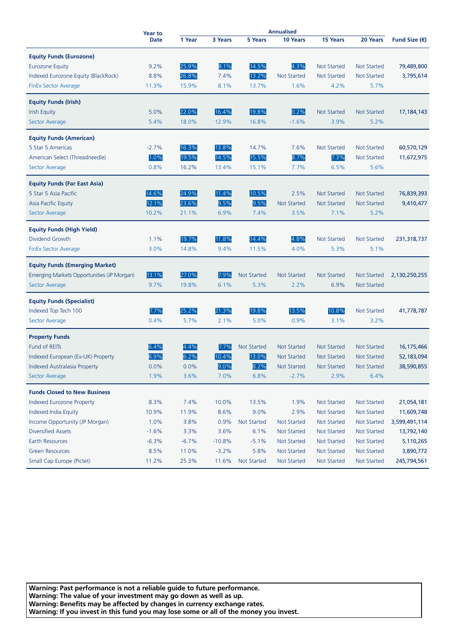|                                            | <b>Year to</b> | <b>Annualised</b> |          |                    |                    |                    |                    |                        |
|--------------------------------------------|----------------|-------------------|----------|--------------------|--------------------|--------------------|--------------------|------------------------|
|                                            | Date           | 1 Year            | 3 Years  | <b>5 Years</b>     | 10 Years           | 15 Years           | 20 Years           | Fund Size $(\epsilon)$ |
| <b>Equity Funds (Eurozone)</b>             |                |                   |          |                    |                    |                    |                    |                        |
| <b>Eurozone Equity</b>                     | 9.2%           | 25.9%             | 8.1%     | 14.5%              | 4.3%               | <b>Not Started</b> | Not Started        | 79,489,800             |
| Indexed Eurozone Equity (BlackRock)        | 8.8%           | 26.8%             | 7.4%     | 13.2%              | <b>Not Started</b> | <b>Not Started</b> | <b>Not Started</b> | 3,795,614              |
| <b>FinEx Sector Average</b>                | 11.3%          | 15.9%             | 8.1%     | 13.7%              | 1.6%               | 4.2%               | 5.7%               |                        |
|                                            |                |                   |          |                    |                    |                    |                    |                        |
| <b>Equity Funds (Irish)</b>                |                |                   |          |                    |                    |                    |                    |                        |
| <b>Irish Equity</b>                        | 5.0%           | 22.0%             | 16.4%    | 19.8%              | 0.2%               | <b>Not Started</b> | Not Started        | 17,184,143             |
| <b>Sector Average</b>                      | 5.4%           | 18.0%             | 12.9%    | 16.8%              | $-1.6%$            | 3.9%               | 5.2%               |                        |
|                                            |                |                   |          |                    |                    |                    |                    |                        |
| <b>Equity Funds (American)</b>             |                |                   |          |                    |                    |                    |                    |                        |
| 5 Star 5 Americas                          | $-2.7%$        | 16.3%             | 13.8%    | 14.7%              | 7.6%               | <b>Not Started</b> | Not Started        | 60,570,129             |
| American Select (Threadneedle)             | 1.0%           | 19.5%             | 14.5%    | 15.5%              | 8.7%               | 7.3%               | Not Started        | 11,672,975             |
| Sector Average                             | 0.8%           | 16.2%             | 13.4%    | 15.1%              | 7.7%               | 6.5%               | 5.6%               |                        |
| <b>Equity Funds (Far East Asia)</b>        |                |                   |          |                    |                    |                    |                    |                        |
| 5 Star 5 Asia Pacific                      | 14.6%          | 24.9%             | 11.4%    | 10.5%              | 2.5%               | <b>Not Started</b> | Not Started        | 76,839,393             |
| Asia Pacific Equity                        | 12.1%          | 23.6%             | 9.5%     | 9.5%               | <b>Not Started</b> | <b>Not Started</b> | <b>Not Started</b> | 9,410,477              |
| Sector Average                             | 10.2%          | 21.1%             | 6.9%     | 7.4%               | 3.5%               | 7.1%               | 5.2%               |                        |
|                                            |                |                   |          |                    |                    |                    |                    |                        |
| <b>Equity Funds (High Yield)</b>           |                |                   |          |                    |                    |                    |                    |                        |
| Dividend Growth                            | 1.1%           | 19.7%             | 11.8%    | 14.4%              | 4.8%               | <b>Not Started</b> | Not Started        | 231,318,737            |
| FinEx Sector Average                       | 3.0%           | 14.8%             | 9.4%     | 11.5%              | 4.0%               | 5.3%               | 5.1%               |                        |
| <b>Equity Funds (Emerging Market)</b>      |                |                   |          |                    |                    |                    |                    |                        |
| Emerging Markets Opportunities (JP Morgan) | 13.1%          | 27.0%             | 7.9%     | <b>Not Started</b> | <b>Not Started</b> | <b>Not Started</b> | Not Started        |                        |
|                                            |                |                   |          |                    |                    |                    |                    | 2,130,250,255          |
| Sector Average                             | 9.7%           | 19.8%             | 6.1%     | 5.3%               | 2.2%               | 6.9%               | <b>Not Started</b> |                        |
| <b>Equity Funds (Specialist)</b>           |                |                   |          |                    |                    |                    |                    |                        |
| Indexed Top Tech 100                       | 7.7%           | 25.2%             | 21.3%    | 19.8%              | 13.5%              | 10.8%              | <b>Not Started</b> | 41,778,787             |
| Sector Average                             | 0.4%           | 5.7%              | 2.1%     | 5.0%               | 0.9%               | 3.1%               | 3.2%               |                        |
|                                            |                |                   |          |                    |                    |                    |                    |                        |
| <b>Property Funds</b>                      |                |                   |          |                    |                    |                    |                    |                        |
| <b>Fund of REITs</b>                       | 6.4%           | 4.4%              | 7.7%     | <b>Not Started</b> | <b>Not Started</b> | <b>Not Started</b> | Not Started        | 16,175,466             |
| Indexed European (Ex-UK) Property          | 6.9%           | 6.2%              | 10.4%    | 13.0%              | <b>Not Started</b> | <b>Not Started</b> | <b>Not Started</b> | 52,183,094             |
| Indexed Australasia Property               | 0.0%           | 0.0%              | 9.0%     | 8.2%               | <b>Not Started</b> | <b>Not Started</b> | <b>Not Started</b> | 38,590,855             |
| <b>Sector Average</b>                      | 1.9%           | 3.6%              | 7.0%     | 6.8%               | $-2.7%$            | 2.9%               | 6.4%               |                        |
| <b>Funds Closed to New Business</b>        |                |                   |          |                    |                    |                    |                    |                        |
| <b>Indexed Eurozone Property</b>           | 8.3%           | 7.4%              | 10.0%    | 13.5%              | 1.9%               | Not Started        | <b>Not Started</b> | 21,054,181             |
| Indexed India Equity                       | 10.9%          | 11.9%             | 8.6%     | 9.0%               | 2.9%               | Not Started        | Not Started        | 11,609,748             |
| Income Opportunity (JP Morgan)             | 1.0%           | 3.8%              | 0.9%     | <b>Not Started</b> | <b>Not Started</b> | Not Started        | Not Started        | 3,599,491,114          |
| <b>Diversified Assets</b>                  | $-1.6%$        | 3.3%              | 3.6%     | 6.1%               | Not Started        | Not Started        | Not Started        | 13,792,140             |
| Earth Resources                            | $-6.3%$        | $-6.7%$           | $-10.8%$ | $-5.1%$            | <b>Not Started</b> | Not Started        | <b>Not Started</b> | 5,110,265              |
| <b>Green Resources</b>                     | 8.5%           | 11.0%             | $-3.2%$  | 5.8%               | Not Started        | Not Started        | Not Started        | 3,890,772              |
| Small Cap Europe (Pictet)                  | 11.2%          | 25.3%             | 11.6%    | Not Started        | <b>Not Started</b> | Not Started        | Not Started        | 245,794,561            |
|                                            |                |                   |          |                    |                    |                    |                    |                        |

**Warning: Past performance is not a reliable guide to future performance. Warning: The value of your investment may go down as well as up. Warning: Benefits may be affected by changes in currency exchange rates. Warning: If you invest in this fund you may lose some or all of the money you invest.**